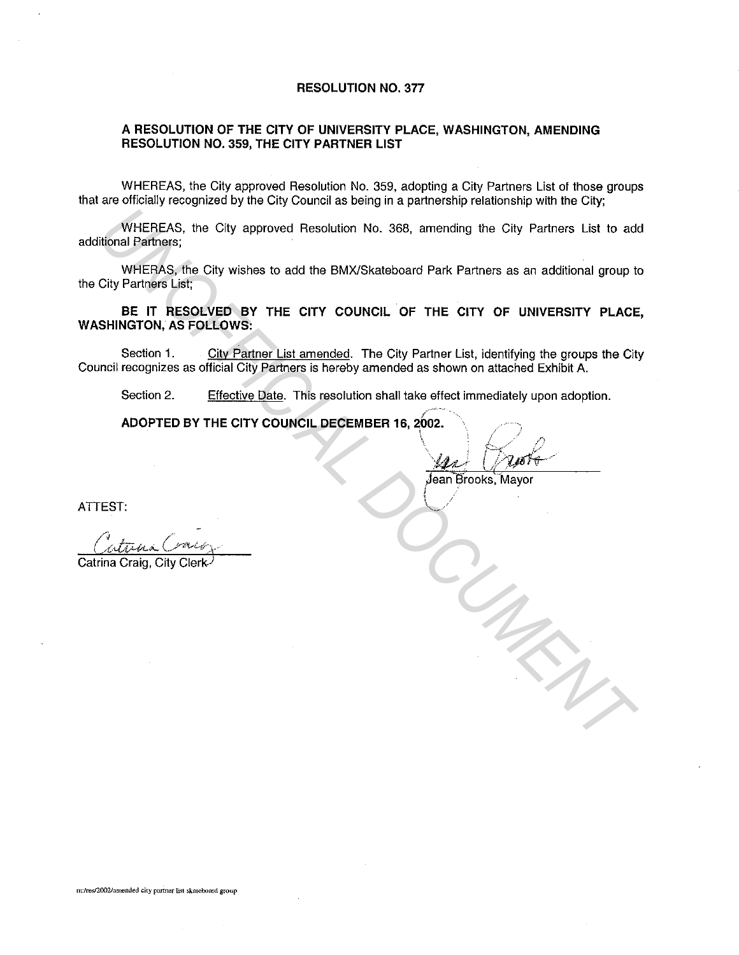## **RESOLUTION NO. 377**

## **A RESOLUTION OF THE CITY OF UNIVERSITY PLACE, WASHINGTON, AMENDING RESOLUTION NO. 359, THE CITY PARTNER LIST**

WHEREAS, the City approved Resolution No. 359, adopting a City Partners List of those groups that are officially recognized by the City Council as being in a partnership relationship with the City;

WHEREAS, the City approved Resolution No. 368, amending the City Partners List to add additional Partners;

WHERAS, the City wishes to add the BMX/Skateboard Park Partners as an additional group to the City Partners List;

**BE IT RESOLVED BY THE CITY COUNCIL OF THE CITY OF UNIVERSITY PLACE, WASHINGTON, AS FOLLOWS:**  WHEREAS, the City approved Resolution No. 368, amending the City Partners List to add<br>
WHEREAS, the City visitos to add the BMX/Skalaboard Park Partners as an additional group to<br>
City Partners List.<br>
City Partners is the

Section 1. City Partner List amended. The City Partner List, identifying the groups the City Council recognizes as official City Partners is hereby amended as shown on attached Exhibit A.

Section 2. Effective Date. This resolution shall take effect immediately upon adoption.

/~··"

**ADOPTED BY THE CITY COUNCIL DECEMBER 16, 2002.** 

' ' */* "' \j\_,4 .• *.J* lt;/~&-- / , .. ·;.(./-!'-"'". ,,.. ''

 $j$ ean Brooks, Mayor

**ATTEST:** 

Catrina Craig, City Clerk